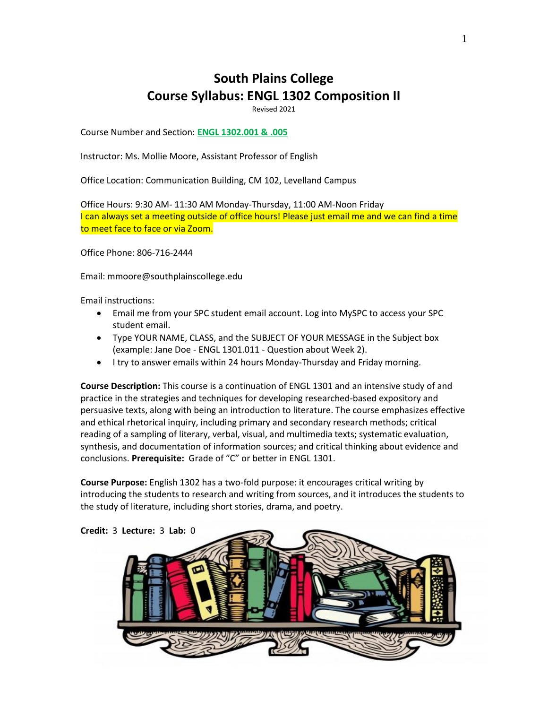# **South Plains College Course Syllabus: ENGL 1302 Composition II**

Revised 2021

Course Number and Section: **ENGL 1302.001 & .005**

Instructor: Ms. Mollie Moore, Assistant Professor of English

Office Location: Communication Building, CM 102, Levelland Campus

Office Hours: 9:30 AM- 11:30 AM Monday-Thursday, 11:00 AM-Noon Friday I can always set a meeting outside of office hours! Please just email me and we can find a time to meet face to face or via Zoom.

Office Phone: 806-716-2444

Email: mmoore@southplainscollege.edu

Email instructions:

- Email me from your SPC student email account. Log into MySPC to access your SPC student email.
- Type YOUR NAME, CLASS, and the SUBJECT OF YOUR MESSAGE in the Subject box (example: Jane Doe - ENGL 1301.011 - Question about Week 2).
- I try to answer emails within 24 hours Monday-Thursday and Friday morning.

**Course Description:** This course is a continuation of ENGL 1301 and an intensive study of and practice in the strategies and techniques for developing researched-based expository and persuasive texts, along with being an introduction to literature. The course emphasizes effective and ethical rhetorical inquiry, including primary and secondary research methods; critical reading of a sampling of literary, verbal, visual, and multimedia texts; systematic evaluation, synthesis, and documentation of information sources; and critical thinking about evidence and conclusions. **Prerequisite:** Grade of "C" or better in ENGL 1301.

**Course Purpose:** English 1302 has a two-fold purpose: it encourages critical writing by introducing the students to research and writing from sources, and it introduces the students to the study of literature, including short stories, drama, and poetry.

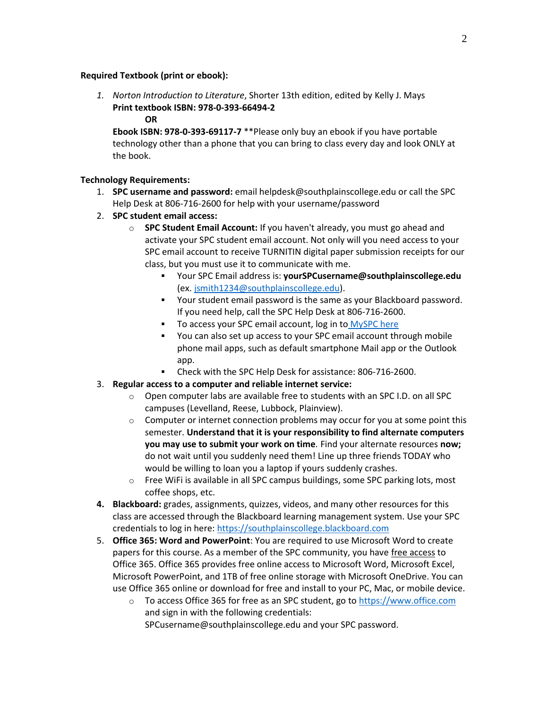#### **Required Textbook (print or ebook):**

- *1. Norton Introduction to Literature*, Shorter 13th edition, edited by Kelly J. Mays **Print textbook ISBN: 978-0-393-66494-2**
	- **OR**

**Ebook ISBN: 978-0-393-69117-7** \*\*Please only buy an ebook if you have portable technology other than a phone that you can bring to class every day and look ONLY at the book.

#### **Technology Requirements:**

- 1. **SPC username and password:** email helpdesk@southplainscollege.edu or call the SPC Help Desk at 806-716-2600 for help with your username/password
- 2. **SPC student email access:**
	- o **SPC Student Email Account:** If you haven't already, you must go ahead and activate your SPC student email account. Not only will you need access to your SPC email account to receive TURNITIN digital paper submission receipts for our class, but you must use it to communicate with me.
		- Your SPC Email address is: **yourSPCusername@southplainscollege.edu** (ex. [jsmith1234@southplainscollege.edu\)](mailto:jsmith1234@southplainscollege.edu).
		- Your student email password is the same as your Blackboard password. If you need help, call the SPC Help Desk at 806-716-2600.
		- To access your SPC email account, log in to [MySPC here](https://fs.southplainscollege.edu/adfs/ls?wa=wsignin1.0&wtrealm=urn%3aportal.southplainscollege.edu%3a443&wctx=https%3a%2f%2fportal.southplainscollege.edu%2f_layouts%2f15%2fAuthenticate.aspx%3fSource%3d%252F&wreply=https%3a%2f%2fportal.southplainscollege.edu%2f_trust%2fdefault.aspx)
		- You can also set up access to your SPC email account through mobile phone mail apps, such as default smartphone Mail app or the Outlook app.
		- Check with the SPC Help Desk for assistance: 806-716-2600.
- 3. **Regular access to a computer and reliable internet service:**
	- $\circ$  Open computer labs are available free to students with an SPC I.D. on all SPC campuses (Levelland, Reese, Lubbock, Plainview).
	- $\circ$  Computer or internet connection problems may occur for you at some point this semester. **Understand that it is your responsibility to find alternate computers you may use to submit your work on time***.* Find your alternate resources **now;** do not wait until you suddenly need them! Line up three friends TODAY who would be willing to loan you a laptop if yours suddenly crashes.
	- o Free WiFi is available in all SPC campus buildings, some SPC parking lots, most coffee shops, etc.
- **4. Blackboard:** grades, assignments, quizzes, videos, and many other resources for this class are accessed through the Blackboard learning management system. Use your SPC credentials to log in here[: https://southplainscollege.blackboard.com](https://southplainscollege.blackboard.com/)
- 5. **Office 365: Word and PowerPoint**: You are required to use Microsoft Word to create papers for this course. As a member of the SPC community, you have free access to Office 365. Office 365 provides free online access to Microsoft Word, Microsoft Excel, Microsoft PowerPoint, and 1TB of free online storage with Microsoft OneDrive. You can use Office 365 online or download for free and install to your PC, Mac, or mobile device.
	- o To access Office 365 for free as an SPC student, go to [https://www.office.com](https://www.office.com/) and sign in with the following credentials:
		- SPCusername@southplainscollege.edu and your SPC password.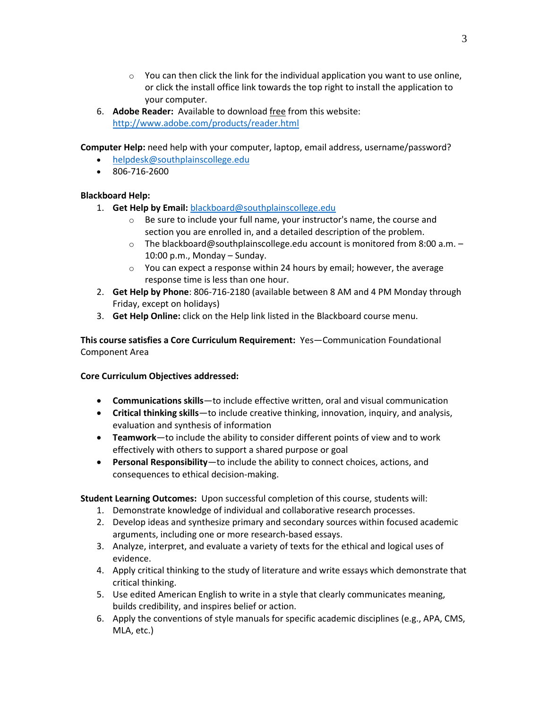- $\circ$  You can then click the link for the individual application you want to use online, or click the install office link towards the top right to install the application to your computer.
- 6. **Adobe Reader:** Available to download free from this website: <http://www.adobe.com/products/reader.html>

**Computer Help:** need help with your computer, laptop, email address, username/password?

- [helpdesk@southplainscollege.edu](mailto:helpdesk@southplainscollege.edu)
- 806-716-2600

## **Blackboard Help:**

- 1. **Get Help by Email:** [blackboard@southplainscollege.edu](mailto:blackboard@southplainscollege.edu)
	- o Be sure to include your full name, your instructor's name, the course and section you are enrolled in, and a detailed description of the problem.
	- o The blackboard@southplainscollege.edu account is monitored from 8:00 a.m. 10:00 p.m., Monday – Sunday.
	- $\circ$  You can expect a response within 24 hours by email; however, the average response time is less than one hour.
- 2. **Get Help by Phone**: 806-716-2180 (available between 8 AM and 4 PM Monday through Friday, except on holidays)
- 3. **Get Help Online:** click on the Help link listed in the Blackboard course menu.

**This course satisfies a Core Curriculum Requirement:** Yes—Communication Foundational Component Area

#### **Core Curriculum Objectives addressed:**

- **Communications skills**—to include effective written, oral and visual communication
- **Critical thinking skills**—to include creative thinking, innovation, inquiry, and analysis, evaluation and synthesis of information
- **Teamwork**—to include the ability to consider different points of view and to work effectively with others to support a shared purpose or goal
- **Personal Responsibility**—to include the ability to connect choices, actions, and consequences to ethical decision-making.

**Student Learning Outcomes:** Upon successful completion of this course, students will:

- 1. Demonstrate knowledge of individual and collaborative research processes.
- 2. Develop ideas and synthesize primary and secondary sources within focused academic arguments, including one or more research-based essays.
- 3. Analyze, interpret, and evaluate a variety of texts for the ethical and logical uses of evidence.
- 4. Apply critical thinking to the study of literature and write essays which demonstrate that critical thinking.
- 5. Use edited American English to write in a style that clearly communicates meaning, builds credibility, and inspires belief or action.
- 6. Apply the conventions of style manuals for specific academic disciplines (e.g., APA, CMS, MLA, etc.)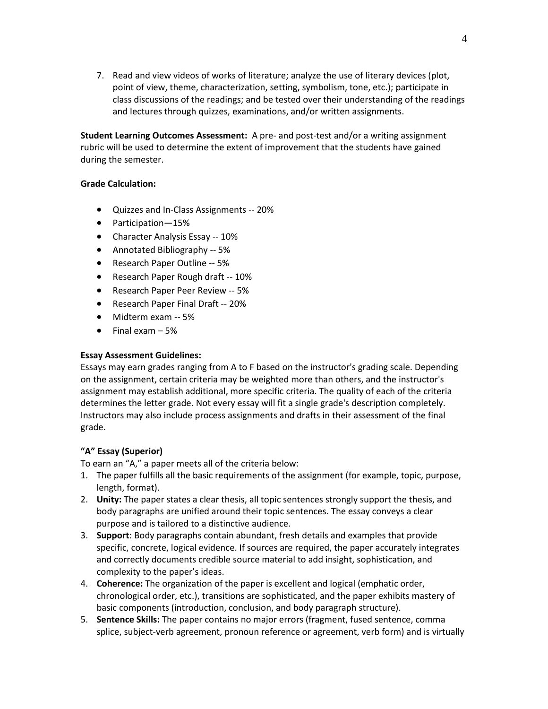7. Read and view videos of works of literature; analyze the use of literary devices (plot, point of view, theme, characterization, setting, symbolism, tone, etc.); participate in class discussions of the readings; and be tested over their understanding of the readings and lectures through quizzes, examinations, and/or written assignments.

**Student Learning Outcomes Assessment:** A pre- and post-test and/or a writing assignment rubric will be used to determine the extent of improvement that the students have gained during the semester.

#### **Grade Calculation:**

- Quizzes and In-Class Assignments -- 20%
- Participation—15%
- Character Analysis Essay -- 10%
- Annotated Bibliography -- 5%
- Research Paper Outline -- 5%
- Research Paper Rough draft -- 10%
- Research Paper Peer Review -- 5%
- Research Paper Final Draft -- 20%
- Midterm exam -- 5%
- $\bullet$  Final exam  $-5\%$

#### **Essay Assessment Guidelines:**

Essays may earn grades ranging from A to F based on the instructor's grading scale. Depending on the assignment, certain criteria may be weighted more than others, and the instructor's assignment may establish additional, more specific criteria. The quality of each of the criteria determines the letter grade. Not every essay will fit a single grade's description completely. Instructors may also include process assignments and drafts in their assessment of the final grade.

#### **"A" Essay (Superior)**

To earn an "A," a paper meets all of the criteria below:

- 1. The paper fulfills all the basic requirements of the assignment (for example, topic, purpose, length, format).
- 2. **Unity:** The paper states a clear thesis, all topic sentences strongly support the thesis, and body paragraphs are unified around their topic sentences. The essay conveys a clear purpose and is tailored to a distinctive audience.
- 3. **Support**: Body paragraphs contain abundant, fresh details and examples that provide specific, concrete, logical evidence. If sources are required, the paper accurately integrates and correctly documents credible source material to add insight, sophistication, and complexity to the paper's ideas.
- 4. **Coherence:** The organization of the paper is excellent and logical (emphatic order, chronological order, etc.), transitions are sophisticated, and the paper exhibits mastery of basic components (introduction, conclusion, and body paragraph structure).
- 5. **Sentence Skills:** The paper contains no major errors (fragment, fused sentence, comma splice, subject-verb agreement, pronoun reference or agreement, verb form) and is virtually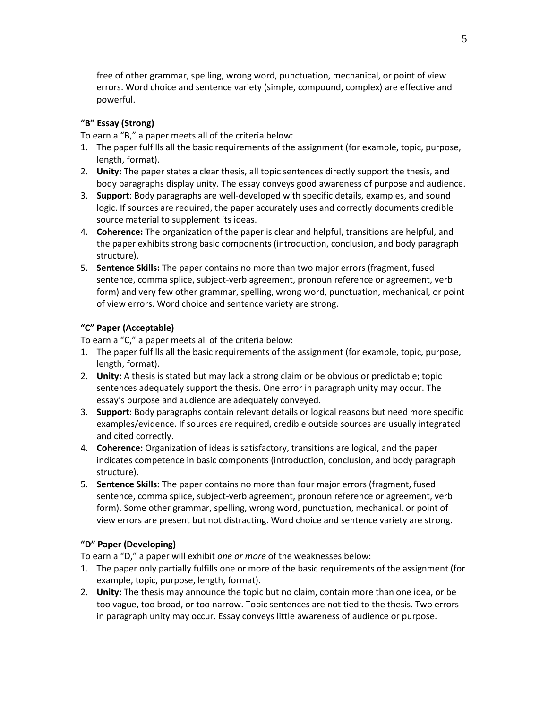free of other grammar, spelling, wrong word, punctuation, mechanical, or point of view errors. Word choice and sentence variety (simple, compound, complex) are effective and powerful.

## **"B" Essay (Strong)**

To earn a "B," a paper meets all of the criteria below:

- 1. The paper fulfills all the basic requirements of the assignment (for example, topic, purpose, length, format).
- 2. **Unity:** The paper states a clear thesis, all topic sentences directly support the thesis, and body paragraphs display unity. The essay conveys good awareness of purpose and audience.
- 3. **Support**: Body paragraphs are well-developed with specific details, examples, and sound logic. If sources are required, the paper accurately uses and correctly documents credible source material to supplement its ideas.
- 4. **Coherence:** The organization of the paper is clear and helpful, transitions are helpful, and the paper exhibits strong basic components (introduction, conclusion, and body paragraph structure).
- 5. **Sentence Skills:** The paper contains no more than two major errors (fragment, fused sentence, comma splice, subject-verb agreement, pronoun reference or agreement, verb form) and very few other grammar, spelling, wrong word, punctuation, mechanical, or point of view errors. Word choice and sentence variety are strong.

## **"C" Paper (Acceptable)**

To earn a "C," a paper meets all of the criteria below:

- 1. The paper fulfills all the basic requirements of the assignment (for example, topic, purpose, length, format).
- 2. **Unity:** A thesis is stated but may lack a strong claim or be obvious or predictable; topic sentences adequately support the thesis. One error in paragraph unity may occur. The essay's purpose and audience are adequately conveyed.
- 3. **Support**: Body paragraphs contain relevant details or logical reasons but need more specific examples/evidence. If sources are required, credible outside sources are usually integrated and cited correctly.
- 4. **Coherence:** Organization of ideas is satisfactory, transitions are logical, and the paper indicates competence in basic components (introduction, conclusion, and body paragraph structure).
- 5. **Sentence Skills:** The paper contains no more than four major errors (fragment, fused sentence, comma splice, subject-verb agreement, pronoun reference or agreement, verb form). Some other grammar, spelling, wrong word, punctuation, mechanical, or point of view errors are present but not distracting. Word choice and sentence variety are strong.

#### **"D" Paper (Developing)**

To earn a "D," a paper will exhibit *one or more* of the weaknesses below:

- 1. The paper only partially fulfills one or more of the basic requirements of the assignment (for example, topic, purpose, length, format).
- 2. **Unity:** The thesis may announce the topic but no claim, contain more than one idea, or be too vague, too broad, or too narrow. Topic sentences are not tied to the thesis. Two errors in paragraph unity may occur. Essay conveys little awareness of audience or purpose.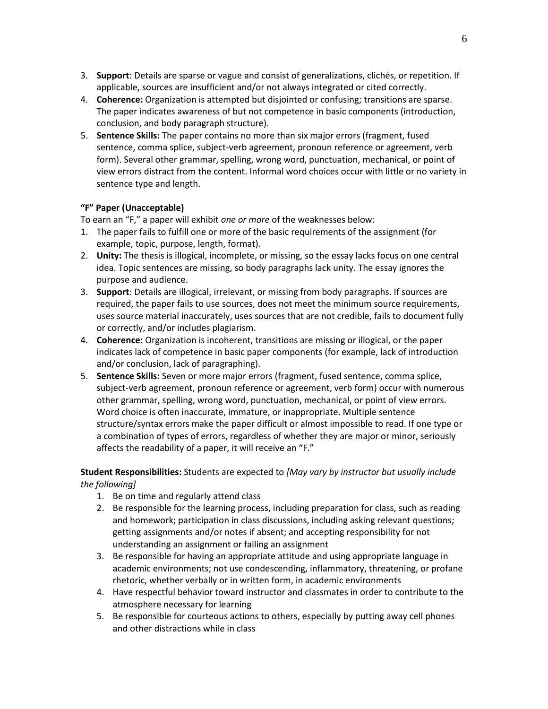- 3. **Support**: Details are sparse or vague and consist of generalizations, clichés, or repetition. If applicable, sources are insufficient and/or not always integrated or cited correctly.
- 4. **Coherence:** Organization is attempted but disjointed or confusing; transitions are sparse. The paper indicates awareness of but not competence in basic components (introduction, conclusion, and body paragraph structure).
- 5. **Sentence Skills:** The paper contains no more than six major errors (fragment, fused sentence, comma splice, subject-verb agreement, pronoun reference or agreement, verb form). Several other grammar, spelling, wrong word, punctuation, mechanical, or point of view errors distract from the content. Informal word choices occur with little or no variety in sentence type and length.

# **"F" Paper (Unacceptable)**

To earn an "F," a paper will exhibit *one or more* of the weaknesses below:

- 1. The paper fails to fulfill one or more of the basic requirements of the assignment (for example, topic, purpose, length, format).
- 2. **Unity:** The thesis is illogical, incomplete, or missing, so the essay lacks focus on one central idea. Topic sentences are missing, so body paragraphs lack unity. The essay ignores the purpose and audience.
- 3. **Support**: Details are illogical, irrelevant, or missing from body paragraphs. If sources are required, the paper fails to use sources, does not meet the minimum source requirements, uses source material inaccurately, uses sources that are not credible, fails to document fully or correctly, and/or includes plagiarism.
- 4. **Coherence:** Organization is incoherent, transitions are missing or illogical, or the paper indicates lack of competence in basic paper components (for example, lack of introduction and/or conclusion, lack of paragraphing).
- 5. **Sentence Skills:** Seven or more major errors (fragment, fused sentence, comma splice, subject-verb agreement, pronoun reference or agreement, verb form) occur with numerous other grammar, spelling, wrong word, punctuation, mechanical, or point of view errors. Word choice is often inaccurate, immature, or inappropriate. Multiple sentence structure/syntax errors make the paper difficult or almost impossible to read. If one type or a combination of types of errors, regardless of whether they are major or minor, seriously affects the readability of a paper, it will receive an "F."

# **Student Responsibilities:** Students are expected to *[May vary by instructor but usually include the following]*

- 1. Be on time and regularly attend class
- 2. Be responsible for the learning process, including preparation for class, such as reading and homework; participation in class discussions, including asking relevant questions; getting assignments and/or notes if absent; and accepting responsibility for not understanding an assignment or failing an assignment
- 3. Be responsible for having an appropriate attitude and using appropriate language in academic environments; not use condescending, inflammatory, threatening, or profane rhetoric, whether verbally or in written form, in academic environments
- 4. Have respectful behavior toward instructor and classmates in order to contribute to the atmosphere necessary for learning
- 5. Be responsible for courteous actions to others, especially by putting away cell phones and other distractions while in class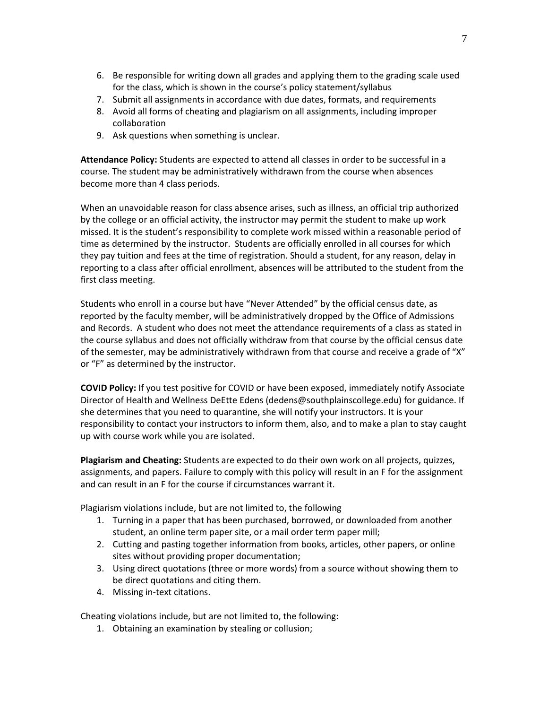- 6. Be responsible for writing down all grades and applying them to the grading scale used for the class, which is shown in the course's policy statement/syllabus
- 7. Submit all assignments in accordance with due dates, formats, and requirements
- 8. Avoid all forms of cheating and plagiarism on all assignments, including improper collaboration
- 9. Ask questions when something is unclear.

**Attendance Policy:** Students are expected to attend all classes in order to be successful in a course. The student may be administratively withdrawn from the course when absences become more than 4 class periods.

When an unavoidable reason for class absence arises, such as illness, an official trip authorized by the college or an official activity, the instructor may permit the student to make up work missed. It is the student's responsibility to complete work missed within a reasonable period of time as determined by the instructor. Students are officially enrolled in all courses for which they pay tuition and fees at the time of registration. Should a student, for any reason, delay in reporting to a class after official enrollment, absences will be attributed to the student from the first class meeting.

Students who enroll in a course but have "Never Attended" by the official census date, as reported by the faculty member, will be administratively dropped by the Office of Admissions and Records. A student who does not meet the attendance requirements of a class as stated in the course syllabus and does not officially withdraw from that course by the official census date of the semester, may be administratively withdrawn from that course and receive a grade of "X" or "F" as determined by the instructor.

**COVID Policy:** If you test positive for COVID or have been exposed, immediately notify Associate Director of Health and Wellness DeEtte Edens (dedens@southplainscollege.edu) for guidance. If she determines that you need to quarantine, she will notify your instructors. It is your responsibility to contact your instructors to inform them, also, and to make a plan to stay caught up with course work while you are isolated.

**Plagiarism and Cheating:** Students are expected to do their own work on all projects, quizzes, assignments, and papers. Failure to comply with this policy will result in an F for the assignment and can result in an F for the course if circumstances warrant it.

Plagiarism violations include, but are not limited to, the following

- 1. Turning in a paper that has been purchased, borrowed, or downloaded from another student, an online term paper site, or a mail order term paper mill;
- 2. Cutting and pasting together information from books, articles, other papers, or online sites without providing proper documentation;
- 3. Using direct quotations (three or more words) from a source without showing them to be direct quotations and citing them.
- 4. Missing in-text citations.

Cheating violations include, but are not limited to, the following:

1. Obtaining an examination by stealing or collusion;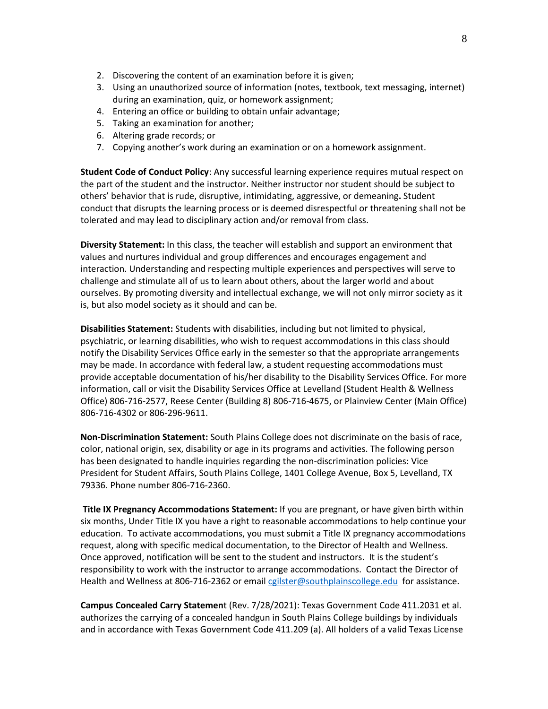- 2. Discovering the content of an examination before it is given;
- 3. Using an unauthorized source of information (notes, textbook, text messaging, internet) during an examination, quiz, or homework assignment;
- 4. Entering an office or building to obtain unfair advantage;
- 5. Taking an examination for another;
- 6. Altering grade records; or
- 7. Copying another's work during an examination or on a homework assignment.

**Student Code of Conduct Policy**: Any successful learning experience requires mutual respect on the part of the student and the instructor. Neither instructor nor student should be subject to others' behavior that is rude, disruptive, intimidating, aggressive, or demeaning**.** Student conduct that disrupts the learning process or is deemed disrespectful or threatening shall not be tolerated and may lead to disciplinary action and/or removal from class.

**Diversity Statement:** In this class, the teacher will establish and support an environment that values and nurtures individual and group differences and encourages engagement and interaction. Understanding and respecting multiple experiences and perspectives will serve to challenge and stimulate all of us to learn about others, about the larger world and about ourselves. By promoting diversity and intellectual exchange, we will not only mirror society as it is, but also model society as it should and can be.

**Disabilities Statement:** Students with disabilities, including but not limited to physical, psychiatric, or learning disabilities, who wish to request accommodations in this class should notify the Disability Services Office early in the semester so that the appropriate arrangements may be made. In accordance with federal law, a student requesting accommodations must provide acceptable documentation of his/her disability to the Disability Services Office. For more information, call or visit the Disability Services Office at Levelland (Student Health & Wellness Office) 806-716-2577, Reese Center (Building 8) 806-716-4675, or Plainview Center (Main Office) 806-716-4302 or 806-296-9611.

**Non-Discrimination Statement:** South Plains College does not discriminate on the basis of race, color, national origin, sex, disability or age in its programs and activities. The following person has been designated to handle inquiries regarding the non-discrimination policies: Vice President for Student Affairs, South Plains College, 1401 College Avenue, Box 5, Levelland, TX 79336. Phone number 806-716-2360.

**Title IX Pregnancy Accommodations Statement:** If you are pregnant, or have given birth within six months, Under Title IX you have a right to reasonable accommodations to help continue your education. To activate accommodations, you must submit a Title IX pregnancy accommodations request, along with specific medical documentation, to the Director of Health and Wellness. Once approved, notification will be sent to the student and instructors. It is the student's responsibility to work with the instructor to arrange accommodations. Contact the Director of Health and Wellness at 806-716-2362 or emai[l cgilster@southplainscollege.edu](mailto:cgilster@southplainscollege.edu) for assistance.

**Campus Concealed Carry Statemen**t (Rev. 7/28/2021): Texas Government Code 411.2031 et al. authorizes the carrying of a concealed handgun in South Plains College buildings by individuals and in accordance with Texas Government Code 411.209 (a). All holders of a valid Texas License